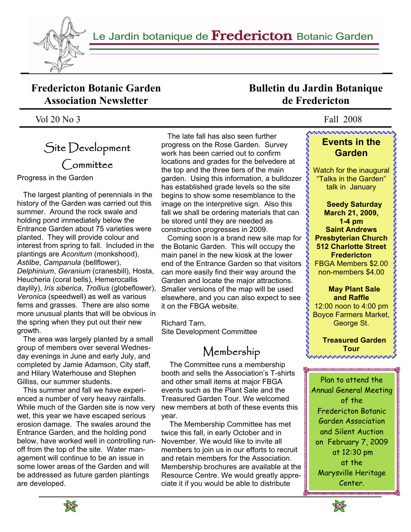

Le Jardin botanique de Fredericton Botanic Garden

#### **Fredericton Botanic Garden Association Newsletter**

Vol 20 No 3 Fall 2008

# Site Development Committee

Progress in the Garden

 The largest planting of perennials in the history of the Garden was carried out this summer. Around the rock swale and holding pond immediately below the Entrance Garden about 75 varieties were planted. They will provide colour and interest from spring to fall. Included in the plantings are *Aconitum* (monkshood), *Astilbe*, *Campanula* (bellflower), *Delphinium*, *Geranium* (cranesbill), Hosta, Heucheria (coral bells), Hemerocallis daylily), *Iris siberica*, *Trollius* (globeflower), *Veronica* (speedwell) as well as various ferns and grasses. There are also some more unusual plants that will be obvious in the spring when they put out their new growth.

 The area was largely planted by a small group of members over several Wednesday evenings in June and early July, and completed by Jamie Adamson, City staff, and Hilary Waterhouse and Stephen Gilliss, our summer students.

 This summer and fall we have experienced a number of very heavy rainfalls. While much of the Garden site is now very wet, this year we have escaped serious erosion damage. The swales around the Entrance Garden, and the holding pond below, have worked well in controlling runoff from the top of the site. Water management will continue to be an issue in some lower areas of the Garden and will be addressed as future garden plantings are developed.

 The late fall has also seen further progress on the Rose Garden. Survey work has been carried out to confirm locations and grades for the belvedere at the top and the three tiers of the main garden. Using this information, a bulldozer has established grade levels so the site begins to show some resemblance to the image on the interpretive sign. Also this fall we shall be ordering materials that can be stored until they are needed as construction progresses in 2009.

 Coming soon is a brand new site map for the Botanic Garden. This will occupy the main panel in the new kiosk at the lower end of the Entrance Garden so that visitors \$ can more easily find their way around the Garden and locate the major attractions. Smaller versions of the map will be used elsewhere, and you can also expect to see it on the FBGA website.

Richard Tarn, Site Development Committee

# Membership

 The Committee runs a membership booth and sells the Association's T-shirts and other small items at major FBGA events such as the Plant Sale and the Treasured Garden Tour. We welcomed new members at both of these events this year.

 The Membership Committee has met twice this fall, in early October and in November. We would like to invite all members to join us in our efforts to recruit and retain members for the Association. Membership brochures are available at the Resource Centre. We would greatly appreciate it if you would be able to distribute

## **Bulletin du Jardin Botanique de Fredericton**

#### **Events in the Garden**

Watch for the inaugural "Talks in the Garden" talk in January

 **Seedy Saturday March 21, 2009, 1-4 pm Saint Andrews Presbyterian Church 512 Charlotte Street Fredericton**  FBGA Members \$2.00 non-members \$4.00

 **May Plant Sale and Raffle**  12:00 noon to 4:00 pm Boyce Farmers Market, George St.

 **Treasured Garden Tour** 

Plan to attend the Annual General Meeting of the Fredericton Botanic Garden Association and Silent Auction on February 7, 2009 at 12:30 pm at the Marysville Heritage Center.